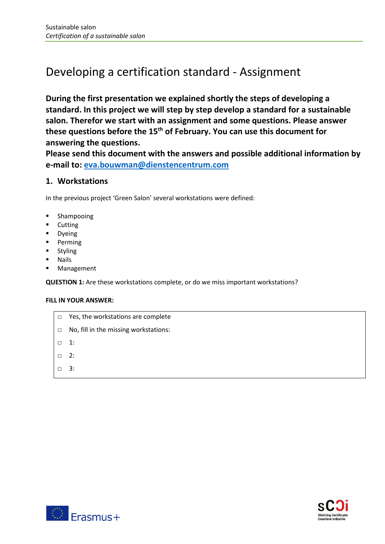# Developing a certification standard - Assignment

**During the first presentation we explained shortly the steps of developing a standard. In this project we will step by step develop a standard for a sustainable salon. Therefor we start with an assignment and some questions. Please answer these questions before the 15th of February. You can use this document for answering the questions.**

**Please send this document with the answers and possible additional information by e-mail to: [eva.bouwman@dienstencentrum.com](mailto:eva.bouwman@dienstencentrum.com)**

## **1. Workstations**

In the previous project 'Green Salon' several workstations were defined:

- Shampooing
- Cutting
- Dyeing
- Perming
- **Styling**
- Nails
- Management

**QUESTION 1:** Are these workstations complete, or do we miss important workstations?

#### **FILL IN YOUR ANSWER:**

- □ Yes, the workstations are complete
- □ No, fill in the missing workstations:
- □ 1:
- □ 2:
- □ 3:



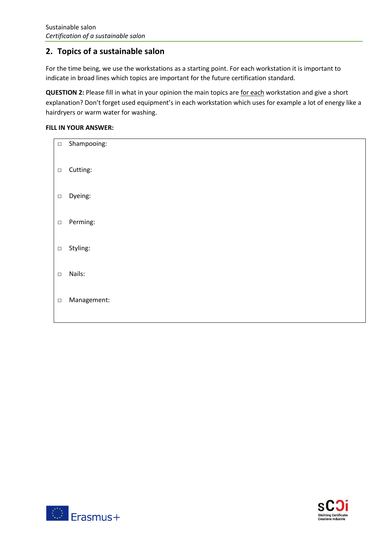## **2. Topics of a sustainable salon**

For the time being, we use the workstations as a starting point. For each workstation it is important to indicate in broad lines which topics are important for the future certification standard.

**QUESTION 2:** Please fill in what in your opinion the main topics are for each workstation and give a short explanation? Don't forget used equipment's in each workstation which uses for example a lot of energy like a hairdryers or warm water for washing.

### **FILL IN YOUR ANSWER:**

| $\Box$ | Shampooing: |
|--------|-------------|
| $\Box$ | Cutting:    |
| $\Box$ | Dyeing:     |
| $\Box$ | Perming:    |
| $\Box$ | Styling:    |
| $\Box$ | Nails:      |
| $\Box$ | Management: |



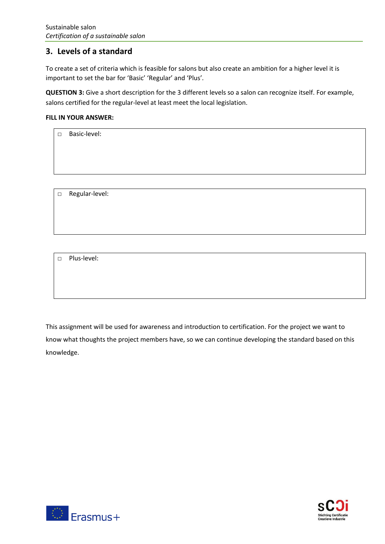## **3. Levels of a standard**

To create a set of criteria which is feasible for salons but also create an ambition for a higher level it is important to set the bar for 'Basic' 'Regular' and 'Plus'.

**QUESTION 3:** Give a short description for the 3 different levels so a salon can recognize itself. For example, salons certified for the regular-level at least meet the local legislation.

#### **FILL IN YOUR ANSWER:**

| $\Box$ | Basic-level:   |
|--------|----------------|
|        |                |
|        |                |
|        |                |
|        |                |
|        |                |
| $\Box$ | Regular-level: |

□ Plus-level:

This assignment will be used for awareness and introduction to certification. For the project we want to know what thoughts the project members have, so we can continue developing the standard based on this knowledge.



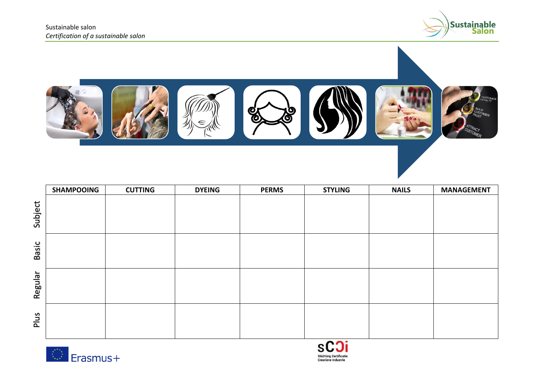



|         | <b>SHAMPOOING</b> | <b>CUTTING</b> | <b>DYEING</b> | <b>PERMS</b> | <b>STYLING</b> | <b>NAILS</b> | <b>MANAGEMENT</b> |
|---------|-------------------|----------------|---------------|--------------|----------------|--------------|-------------------|
| Subject |                   |                |               |              |                |              |                   |
| Basic   |                   |                |               |              |                |              |                   |
| Regular |                   |                |               |              |                |              |                   |
| Plus    |                   |                |               |              |                |              |                   |